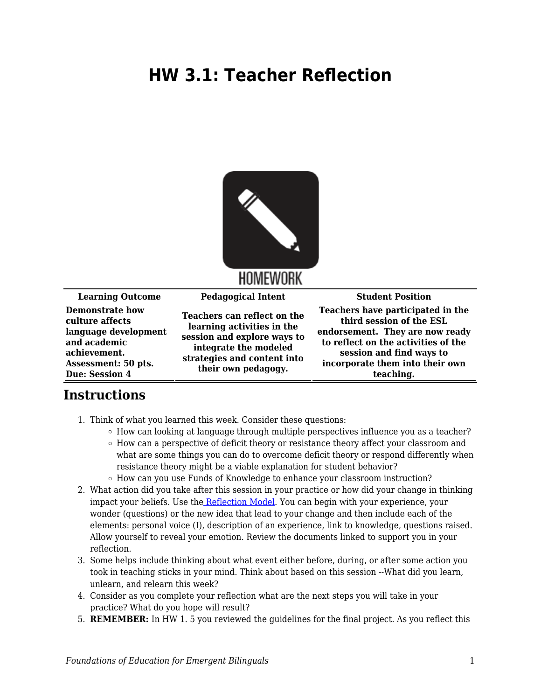## **HW 3.1: Teacher Reflection**



## HOMEWORK

| <b>Learning Outcome</b>                                                                                                                    | <b>Pedagogical Intent</b>                                                                                                                                               | <b>Student Position</b>                                                                                                                                                                                             |
|--------------------------------------------------------------------------------------------------------------------------------------------|-------------------------------------------------------------------------------------------------------------------------------------------------------------------------|---------------------------------------------------------------------------------------------------------------------------------------------------------------------------------------------------------------------|
| <b>Demonstrate how</b><br>culture affects<br>language development<br>and academic<br>achievement.<br>Assessment: 50 pts.<br>Due: Session 4 | Teachers can reflect on the<br>learning activities in the<br>session and explore ways to<br>integrate the modeled<br>strategies and content into<br>their own pedagogy. | Teachers have participated in the<br>third session of the ESL<br>endorsement. They are now ready<br>to reflect on the activities of the<br>session and find ways to<br>incorporate them into their own<br>teaching. |
|                                                                                                                                            |                                                                                                                                                                         |                                                                                                                                                                                                                     |

## **Instructions**

- 1. Think of what you learned this week. Consider these questions:
	- $\circ$  How can looking at language through multiple perspectives influence you as a teacher?
	- $\circ$  How can a perspective of deficit theory or resistance theory affect your classroom and what are some things you can do to overcome deficit theory or respond differently when resistance theory might be a viable explanation for student behavior?
	- $\circ$  How can you use Funds of Knowledge to enhance your classroom instruction?
- 2. What action did you take after this session in your practice or how did your change in thinking impact your beliefs. Use th[e Reflection Model](https://byu.box.com/s/3uk3ho8imj9baj3qn5kn1m9mfzlxxiz8). You can begin with your experience, your wonder (questions) or the new idea that lead to your change and then include each of the elements: personal voice (I), description of an experience, link to knowledge, questions raised. Allow yourself to reveal your emotion. Review the documents linked to support you in your reflection.
- 3. Some helps include thinking about what event either before, during, or after some action you took in teaching sticks in your mind. Think about based on this session --What did you learn, unlearn, and relearn this week?
- 4. Consider as you complete your reflection what are the next steps you will take in your practice? What do you hope will result?
- 5. **REMEMBER:** In HW 1. 5 you reviewed the guidelines for the final project. As you reflect this